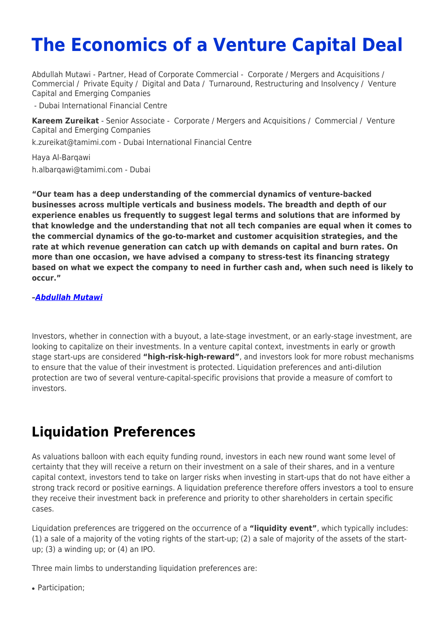# **The Economics of a Venture Capital Deal**

Abdullah Mutawi - Partner, Head of Corporate Commercial - [Corporate / Mergers and Acquisitions](https://www.tamimi.com/client-services/practices/corporate-mergers-acquisitions/) / [Commercial](https://www.tamimi.com/client-services/practices/commercial/) / [Private Equity](https://www.tamimi.com/client-services/practices/private-equity/) / [Digital and Data](https://www.tamimi.com/client-services/practices/digital-data/) / [Turnaround, Restructuring and Insolvency](https://www.tamimi.com/client-services/practices/turnaround-restructuring-insolvency/) / [Venture](https://www.tamimi.com/client-services/practices/venture-capital-emerging-companies/) [Capital and Emerging Companies](https://www.tamimi.com/client-services/practices/venture-capital-emerging-companies/)

- [Dubai International Financial Centre](https://www.tamimi.com/locations/uae/)

**[Kareem Zureikat](https://www.tamimi.com/find-a-lawyer/kareem-zureikat/)** - Senior Associate - [Corporate / Mergers and Acquisitions](https://www.tamimi.com/client-services/practices/corporate-mergers-acquisitions/) / [Commercial](https://www.tamimi.com/client-services/practices/commercial/) / [Venture](https://www.tamimi.com/client-services/practices/venture-capital-emerging-companies/) [Capital and Emerging Companies](https://www.tamimi.com/client-services/practices/venture-capital-emerging-companies/)

[k.zureikat@tamimi.com](mailto:k.zureikat@tamimi.com) - [Dubai International Financial Centre](https://www.tamimi.com/locations/uae/)

Haya Al-Barqawi [h.albarqawi@tamimi.com](mailto:h.albarqawi@tamimi.com) - Dubai

**"Our team has a deep understanding of the commercial dynamics of venture-backed businesses across multiple verticals and business models. The breadth and depth of our experience enables us frequently to suggest legal terms and solutions that are informed by that knowledge and the understanding that not all tech companies are equal when it comes to the commercial dynamics of the go-to-market and customer acquisition strategies, and the rate at which revenue generation can catch up with demands on capital and burn rates. On more than one occasion, we have advised a company to stress-test its financing strategy based on what we expect the company to need in further cash and, when such need is likely to occur."**

#### *[–Abdullah Mutawi](https://www.tamimi.com/find-a-lawyer/abdullah-mutawi/)*

Investors, whether in connection with a buyout, a late-stage investment, or an early-stage investment, are looking to capitalize on their investments. In a venture capital context, investments in early or growth stage start-ups are considered **"high-risk-high-reward"**, and investors look for more robust mechanisms to ensure that the value of their investment is protected. Liquidation preferences and anti-dilution protection are two of several venture-capital-specific provisions that provide a measure of comfort to investors.

# **Liquidation Preferences**

As valuations balloon with each equity funding round, investors in each new round want some level of certainty that they will receive a return on their investment on a sale of their shares, and in a venture capital context, investors tend to take on larger risks when investing in start-ups that do not have either a strong track record or positive earnings. A liquidation preference therefore offers investors a tool to ensure they receive their investment back in preference and priority to other shareholders in certain specific cases.

Liquidation preferences are triggered on the occurrence of a **"liquidity event"**, which typically includes: (1) a sale of a majority of the voting rights of the start-up; (2) a sale of majority of the assets of the startup; (3) a winding up; or (4) an IPO.

Three main limbs to understanding liquidation preferences are:

• Participation: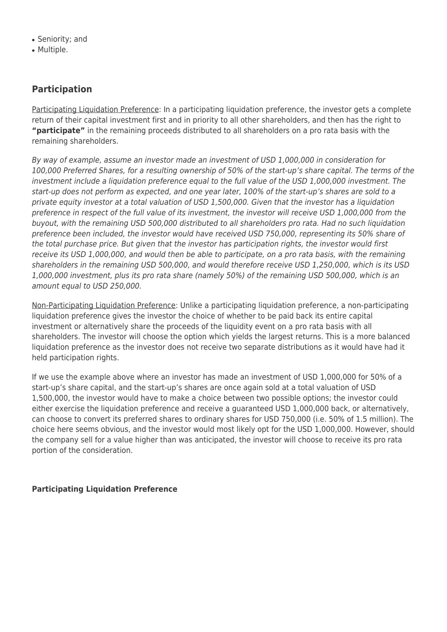- Seniority; and
- Multiple.

### **Participation**

Participating Liquidation Preference: In a participating liquidation preference, the investor gets a complete return of their capital investment first and in priority to all other shareholders, and then has the right to **"participate"** in the remaining proceeds distributed to all shareholders on a pro rata basis with the remaining shareholders.

By way of example, assume an investor made an investment of USD 1,000,000 in consideration for 100,000 Preferred Shares, for a resulting ownership of 50% of the start-up's share capital. The terms of the investment include a liquidation preference equal to the full value of the USD 1,000,000 investment. The start-up does not perform as expected, and one year later, 100% of the start-up's shares are sold to a private equity investor at a total valuation of USD 1,500,000. Given that the investor has a liquidation preference in respect of the full value of its investment, the investor will receive USD 1,000,000 from the buyout, with the remaining USD 500,000 distributed to all shareholders pro rata. Had no such liquidation preference been included, the investor would have received USD 750,000, representing its 50% share of the total purchase price. But given that the investor has participation rights, the investor would first receive its USD 1,000,000, and would then be able to participate, on a pro rata basis, with the remaining shareholders in the remaining USD 500,000, and would therefore receive USD 1,250,000, which is its USD 1,000,000 investment, plus its pro rata share (namely 50%) of the remaining USD 500,000, which is an amount equal to USD 250,000.

Non-Participating Liquidation Preference: Unlike a participating liquidation preference, a non-participating liquidation preference gives the investor the choice of whether to be paid back its entire capital investment or alternatively share the proceeds of the liquidity event on a pro rata basis with all shareholders. The investor will choose the option which yields the largest returns. This is a more balanced liquidation preference as the investor does not receive two separate distributions as it would have had it held participation rights.

If we use the example above where an investor has made an investment of USD 1,000,000 for 50% of a start-up's share capital, and the start-up's shares are once again sold at a total valuation of USD 1,500,000, the investor would have to make a choice between two possible options; the investor could either exercise the liquidation preference and receive a guaranteed USD 1,000,000 back, or alternatively, can choose to convert its preferred shares to ordinary shares for USD 750,000 (i.e. 50% of 1.5 million). The choice here seems obvious, and the investor would most likely opt for the USD 1,000,000. However, should the company sell for a value higher than was anticipated, the investor will choose to receive its pro rata portion of the consideration.

#### **Participating Liquidation Preference**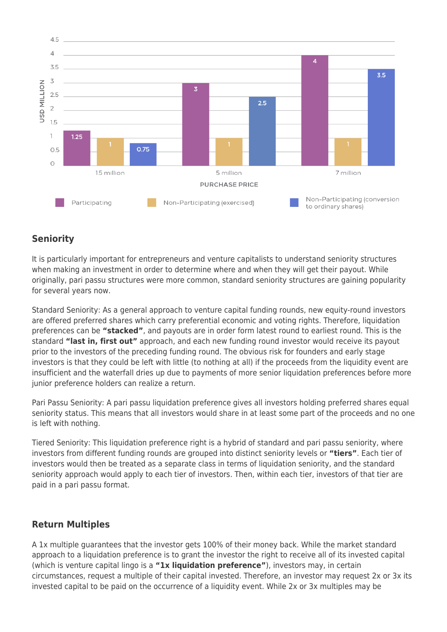

## **Seniority**

It is particularly important for entrepreneurs and venture capitalists to understand seniority structures when making an investment in order to determine where and when they will get their payout. While originally, pari passu structures were more common, standard seniority structures are gaining popularity for several years now.

Standard Seniority: As a general approach to venture capital funding rounds, new equity-round investors are offered preferred shares which carry preferential economic and voting rights. Therefore, liquidation preferences can be **"stacked"**, and payouts are in order form latest round to earliest round. This is the standard **"last in, first out"** approach, and each new funding round investor would receive its payout prior to the investors of the preceding funding round. The obvious risk for founders and early stage investors is that they could be left with little (to nothing at all) if the proceeds from the liquidity event are insufficient and the waterfall dries up due to payments of more senior liquidation preferences before more junior preference holders can realize a return.

Pari Passu Seniority: A pari passu liquidation preference gives all investors holding preferred shares equal seniority status. This means that all investors would share in at least some part of the proceeds and no one is left with nothing.

Tiered Seniority: This liquidation preference right is a hybrid of standard and pari passu seniority, where investors from different funding rounds are grouped into distinct seniority levels or **"tiers"**. Each tier of investors would then be treated as a separate class in terms of liquidation seniority, and the standard seniority approach would apply to each tier of investors. Then, within each tier, investors of that tier are paid in a pari passu format.

### **Return Multiples**

A 1x multiple guarantees that the investor gets 100% of their money back. While the market standard approach to a liquidation preference is to grant the investor the right to receive all of its invested capital (which is venture capital lingo is a **"1x liquidation preference"**), investors may, in certain circumstances, request a multiple of their capital invested. Therefore, an investor may request 2x or 3x its invested capital to be paid on the occurrence of a liquidity event. While 2x or 3x multiples may be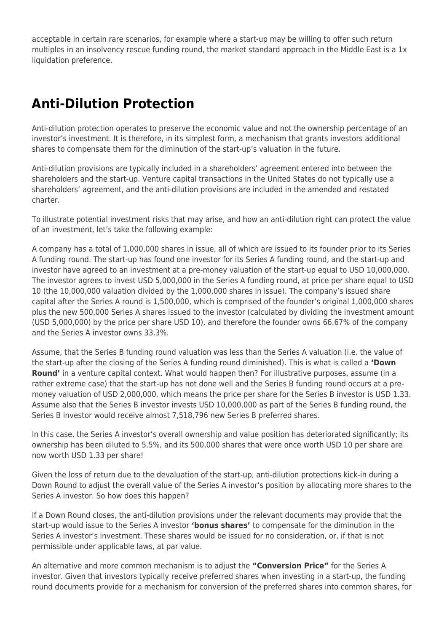acceptable in certain rare scenarios, for example where a start-up may be willing to offer such return multiples in an insolvency rescue funding round, the market standard approach in the Middle East is a 1x liquidation preference.

# **Anti-Dilution Protection**

Anti-dilution protection operates to preserve the economic value and not the ownership percentage of an investor's investment. It is therefore, in its simplest form, a mechanism that grants investors additional shares to compensate them for the diminution of the start-up's valuation in the future.

Anti-dilution provisions are typically included in a shareholders' agreement entered into between the shareholders and the start-up. Venture capital transactions in the United States do not typically use a shareholders' agreement, and the anti-dilution provisions are included in the amended and restated charter.

To illustrate potential investment risks that may arise, and how an anti-dilution right can protect the value of an investment, let's take the following example:

A company has a total of 1,000,000 shares in issue, all of which are issued to its founder prior to its Series A funding round. The start-up has found one investor for its Series A funding round, and the start-up and investor have agreed to an investment at a pre-money valuation of the start-up equal to USD 10,000,000. The investor agrees to invest USD 5,000,000 in the Series A funding round, at price per share equal to USD 10 (the 10,000,000 valuation divided by the 1,000,000 shares in issue). The company's issued share capital after the Series A round is 1,500,000, which is comprised of the founder's original 1,000,000 shares plus the new 500,000 Series A shares issued to the investor (calculated by dividing the investment amount (USD 5,000,000) by the price per share USD 10), and therefore the founder owns 66.67% of the company and the Series A investor owns 33.3%.

Assume, that the Series B funding round valuation was less than the Series A valuation (i.e. the value of the start-up after the closing of the Series A funding round diminished). This is what is called a **'Down Round'** in a venture capital context. What would happen then? For illustrative purposes, assume (in a rather extreme case) that the start-up has not done well and the Series B funding round occurs at a premoney valuation of USD 2,000,000, which means the price per share for the Series B investor is USD 1.33. Assume also that the Series B investor invests USD 10,000,000 as part of the Series B funding round, the Series B investor would receive almost 7,518,796 new Series B preferred shares.

In this case, the Series A investor's overall ownership and value position has deteriorated significantly; its ownership has been diluted to 5.5%, and its 500,000 shares that were once worth USD 10 per share are now worth USD 1.33 per share!

Given the loss of return due to the devaluation of the start-up, anti-dilution protections kick-in during a Down Round to adjust the overall value of the Series A investor's position by allocating more shares to the Series A investor. So how does this happen?

If a Down Round closes, the anti-dilution provisions under the relevant documents may provide that the start-up would issue to the Series A investor **'bonus shares'** to compensate for the diminution in the Series A investor's investment. These shares would be issued for no consideration, or, if that is not permissible under applicable laws, at par value.

An alternative and more common mechanism is to adjust the **"Conversion Price"** for the Series A investor. Given that investors typically receive preferred shares when investing in a start-up, the funding round documents provide for a mechanism for conversion of the preferred shares into common shares, for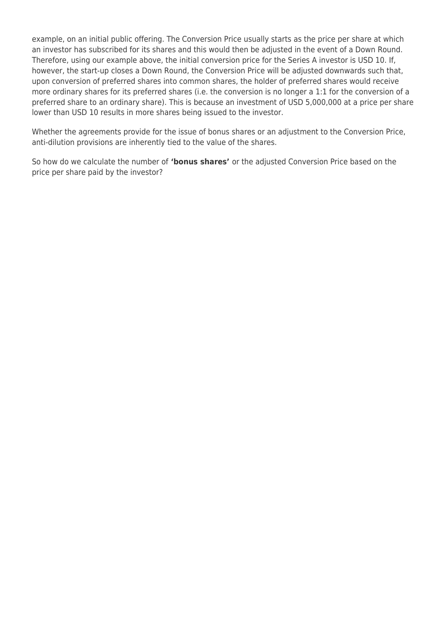example, on an initial public offering. The Conversion Price usually starts as the price per share at which an investor has subscribed for its shares and this would then be adjusted in the event of a Down Round. Therefore, using our example above, the initial conversion price for the Series A investor is USD 10. If, however, the start-up closes a Down Round, the Conversion Price will be adjusted downwards such that, upon conversion of preferred shares into common shares, the holder of preferred shares would receive more ordinary shares for its preferred shares (i.e. the conversion is no longer a 1:1 for the conversion of a preferred share to an ordinary share). This is because an investment of USD 5,000,000 at a price per share lower than USD 10 results in more shares being issued to the investor.

Whether the agreements provide for the issue of bonus shares or an adjustment to the Conversion Price, anti-dilution provisions are inherently tied to the value of the shares.

So how do we calculate the number of **'bonus shares'** or the adjusted Conversion Price based on the price per share paid by the investor?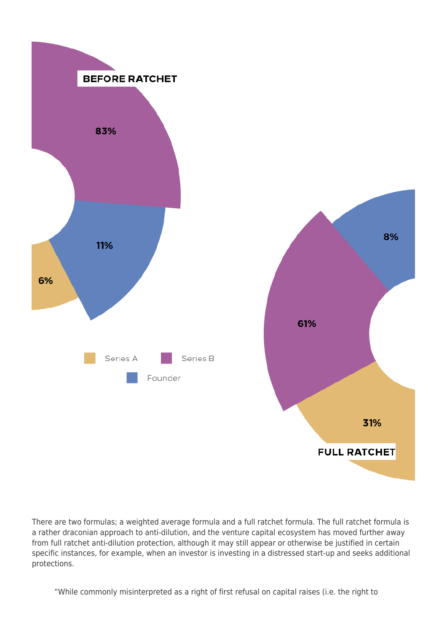

There are two formulas; a weighted average formula and a full ratchet formula. The full ratchet formula is a rather draconian approach to anti-dilution, and the venture capital ecosystem has moved further away from full ratchet anti-dilution protection, although it may still appear or otherwise be justified in certain specific instances, for example, when an investor is investing in a distressed start-up and seeks additional protections.

"While commonly misinterpreted as a right of first refusal on capital raises (i.e. the right to